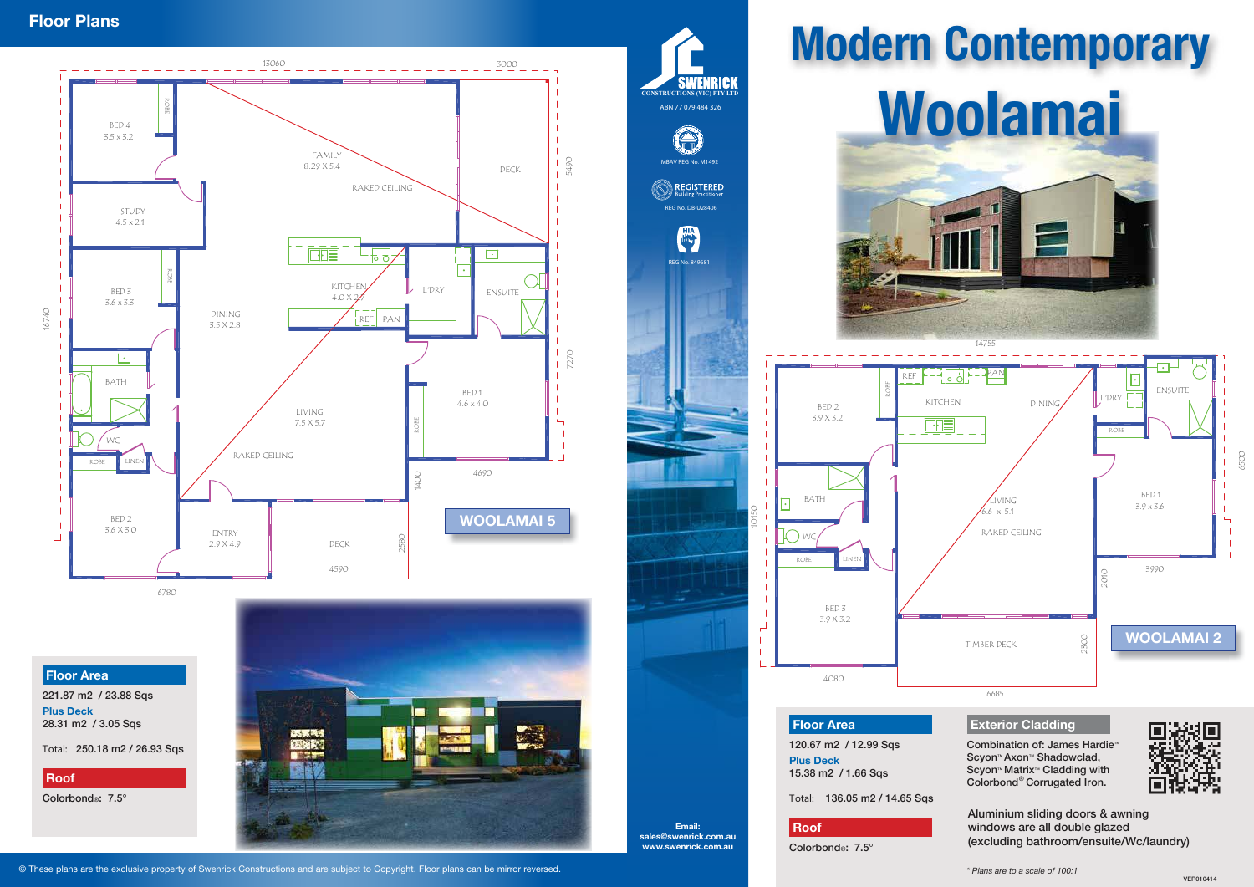**Floor Area**

120.67 m2 / 12.99 Sqs **Plus Deck** 15.38 m2 / 1.66 Sqs

Total: 136.05 m2 / 14.65 Sqs

## **Roof**

Colorbond®: 7.5°

Combination of: James Hardie™ Scyon™ Axon™ Shadowclad, Scyon™ Matrix™ Cladding with Colorbond<sup>®</sup> Corrugated Iron.





## **Floor Area**

221.87 m2 / 23.88 Sqs **Plus Deck** 28.31 m2 / 3.05 Sqs

Total: 250.18 m2 / 26.93 Sqs

### **Roof**

Colorbond®: 7.5°



Email: sales@swenrick.com.au www.swenrick.com.au

Aluminium sliding doors & awning windows are all double glazed (excluding bathroom/ensuite/Wc/laundry)



6780